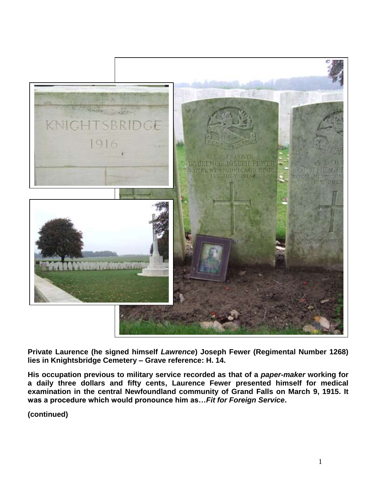

**Private Laurence (he signed himself** *Lawrence***) Joseph Fewer (Regimental Number 1268) lies in Knightsbridge Cemetery – Grave reference: H. 14.**

**His occupation previous to military service recorded as that of a** *paper-maker* **working for a daily three dollars and fifty cents, Laurence Fewer presented himself for medical examination in the central Newfoundland community of Grand Falls on March 9, 1915. It was a procedure which would pronounce him as…***Fit for Foreign Service***.**

**(continued)**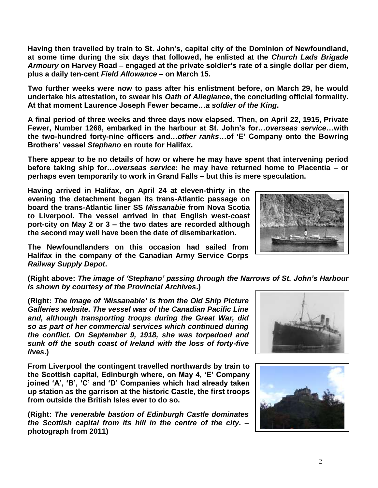**Having then travelled by train to St. John's, capital city of the Dominion of Newfoundland, at some time during the six days that followed, he enlisted at the** *Church Lads Brigade Armoury* **on Harvey Road – engaged at the private soldier's rate of a single dollar per diem, plus a daily ten-cent** *Field Allowance* **– on March 15.**

**Two further weeks were now to pass after his enlistment before, on March 29, he would undertake his attestation, to swear his** *Oath of Allegiance***, the concluding official formality. At that moment Laurence Joseph Fewer became…***a soldier of the King***.**

**A final period of three weeks and three days now elapsed. Then, on April 22, 1915, Private Fewer, Number 1268, embarked in the harbour at St. John's for…***overseas service***…with the two-hundred forty-nine officers and…***other ranks***…of 'E' Company onto the Bowring Brothers' vessel** *Stephano* **en route for Halifax.** 

**There appear to be no details of how or where he may have spent that intervening period before taking ship for…***overseas service***: he may have returned home to Placentia – or perhaps even temporarily to work in Grand Falls – but this is mere speculation.** 

**Having arrived in Halifax, on April 24 at eleven-thirty in the evening the detachment began its trans-Atlantic passage on board the trans-Atlantic liner SS** *Missanabie* **from Nova Scotia to Liverpool. The vessel arrived in that English west-coast port-city on May 2 or 3 – the two dates are recorded although the second may well have been the date of disembarkation.** 

**The Newfoundlanders on this occasion had sailed from Halifax in the company of the Canadian Army Service Corps**  *Railway Supply Depot***.**

**(Right above:** *The image of 'Stephano' passing through the Narrows of St. John's Harbour is shown by courtesy of the Provincial Archives***.)**

**(Right:** *The image of 'Missanabie' is from the Old Ship Picture Galleries website. The vessel was of the Canadian Pacific Line and, although transporting troops during the Great War, did so as part of her commercial services which continued during the conflict. On September 9, 1918, she was torpedoed and sunk off the south coast of Ireland with the loss of forty-five lives***.)**

**From Liverpool the contingent travelled northwards by train to the Scottish capital, Edinburgh where, on May 4, 'E' Company joined 'A', 'B', 'C' and 'D' Companies which had already taken up station as the garrison at the historic Castle, the first troops from outside the British Isles ever to do so.**

**(Right:** *The venerable bastion of Edinburgh Castle dominates the Scottish capital from its hill in the centre of the city***. – photograph from 2011)**





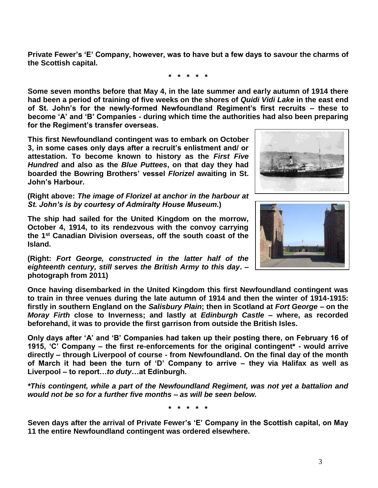**Private Fewer's 'E' Company, however, was to have but a few days to savour the charms of the Scottish capital.**

**\* \* \* \* \***

**Some seven months before that May 4, in the late summer and early autumn of 1914 there had been a period of training of five weeks on the shores of** *Quidi Vidi Lake* **in the east end of St. John's for the newly-formed Newfoundland Regiment's first recruits – these to become 'A' and 'B' Companies - during which time the authorities had also been preparing for the Regiment's transfer overseas.**

**This first Newfoundland contingent was to embark on October 3, in some cases only days after a recruit's enlistment and/ or attestation. To become known to history as the** *First Five Hundred* **and also as the** *Blue Puttees***, on that day they had boarded the Bowring Brothers' vessel** *Florizel* **awaiting in St. John's Harbour.**

**(Right above:** *The image of Florizel at anchor in the harbour at St. John's is by courtesy of Admiralty House Museum***.)**

**The ship had sailed for the United Kingdom on the morrow, October 4, 1914, to its rendezvous with the convoy carrying the 1st Canadian Division overseas, off the south coast of the Island.** 

**(Right:** *Fort George, constructed in the latter half of the eighteenth century, still serves the British Army to this day***. – photograph from 2011)**

**Once having disembarked in the United Kingdom this first Newfoundland contingent was to train in three venues during the late autumn of 1914 and then the winter of 1914-1915: firstly in southern England on the** *Salisbury Plain***; then in Scotland at** *Fort George* **– on the**  *Moray Firth* **close to Inverness; and lastly at** *Edinburgh Castle* **– where, as recorded beforehand, it was to provide the first garrison from outside the British Isles.** 

**Only days after 'A' and 'B' Companies had taken up their posting there, on February 16 of 1915, 'C' Company – the first re-enforcements for the original contingent\* - would arrive directly – through Liverpool of course - from Newfoundland. On the final day of the month of March it had been the turn of 'D' Company to arrive – they via Halifax as well as Liverpool – to report…***to duty***…at Edinburgh.**

*\*This contingent, while a part of the Newfoundland Regiment, was not yet a battalion and would not be so for a further five months – as will be seen below.*

**\* \* \* \* \***

**Seven days after the arrival of Private Fewer's 'E' Company in the Scottish capital, on May 11 the entire Newfoundland contingent was ordered elsewhere.** 



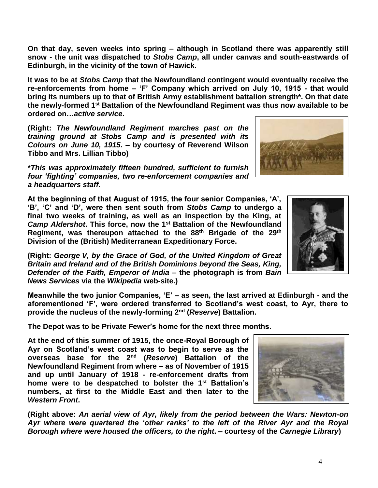**On that day, seven weeks into spring – although in Scotland there was apparently still snow - the unit was dispatched to** *Stobs Camp***, all under canvas and south-eastwards of Edinburgh, in the vicinity of the town of Hawick.**

**It was to be at** *Stobs Camp* **that the Newfoundland contingent would eventually receive the re-enforcements from home – 'F' Company which arrived on July 10, 1915 - that would bring its numbers up to that of British Army establishment battalion strength\*. On that date the newly-formed 1st Battalion of the Newfoundland Regiment was thus now available to be ordered on…***active service***.**

**(Right:** *The Newfoundland Regiment marches past on the training ground at Stobs Camp and is presented with its Colours on June 10, 1915.* **– by courtesy of Reverend Wilson Tibbo and Mrs. Lillian Tibbo)**

**\****This was approximately fifteen hundred, sufficient to furnish four 'fighting' companies, two re-enforcement companies and a headquarters staff.*

**At the beginning of that August of 1915, the four senior Companies, 'A', 'B', 'C' and 'D', were then sent south from** *Stobs Camp* **to undergo a final two weeks of training, as well as an inspection by the King, at**  *Camp Aldershot***. This force, now the 1st Battalion of the Newfoundland Regiment, was thereupon attached to the 88th Brigade of the 29th Division of the (British) Mediterranean Expeditionary Force.**

**(Right:** *George V, by the Grace of God, of the United Kingdom of Great Britain and Ireland and of the British Dominions beyond the Seas, King, Defender of the Faith, Emperor of India* **– the photograph is from** *Bain News Services* **via the** *Wikipedia* **web-site.)**

**Meanwhile the two junior Companies, 'E' – as seen, the last arrived at Edinburgh - and the aforementioned 'F', were ordered transferred to Scotland's west coast, to Ayr, there to provide the nucleus of the newly-forming 2nd (***Reserve***) Battalion.**

**The Depot was to be Private Fewer's home for the next three months.**

**At the end of this summer of 1915, the once-Royal Borough of Ayr on Scotland's west coast was to begin to serve as the overseas base for the 2 nd (***Reserve***) Battalion of the Newfoundland Regiment from where – as of November of 1915 and up until January of 1918 - re-enforcement drafts from home were to be despatched to bolster the 1st Battalion's numbers, at first to the Middle East and then later to the**  *Western Front***.**

**(Right above:** *An aerial view of Ayr, likely from the period between the Wars: Newton-on Ayr where were quartered the 'other ranks' to the left of the River Ayr and the Royal Borough where were housed the officers, to the right***. – courtesy of the** *Carnegie Library***)**





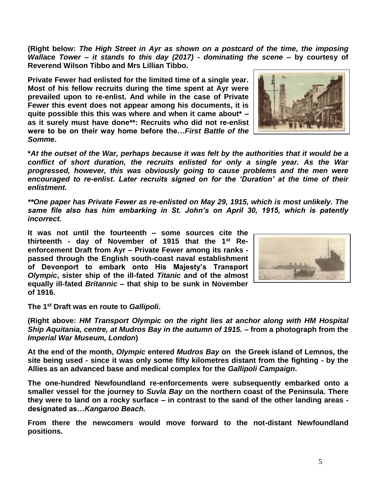**(Right below:** *The High Street in Ayr as shown on a postcard of the time, the imposing Wallace Tower – it stands to this day (2017) - dominating the scene* **– by courtesy of Reverend Wilson Tibbo and Mrs Lillian Tibbo.**

**Private Fewer had enlisted for the limited time of a single year. Most of his fellow recruits during the time spent at Ayr were prevailed upon to re-enlist. And while in the case of Private Fewer this event does not appear among his documents, it is quite possible this this was where and when it came about\* – as it surely must have done\*\*: Recruits who did not re-enlist were to be on their way home before the…***First Battle of the Somme***.**

**\****At the outset of the War, perhaps because it was felt by the authorities that it would be a conflict of short duration, the recruits enlisted for only a single year. As the War progressed, however, this was obviously going to cause problems and the men were encouraged to re-enlist***.** *Later recruits signed on for the 'Duration' at the time of their enlistment.*

*\*\*One paper has Private Fewer as re-enlisted on May 29, 1915, which is most unlikely. The same file also has him embarking in St. John's on April 30, 1915, which is patently incorrect.*

**It was not until the fourteenth – some sources cite the thirteenth - day of November of 1915 that the 1st Reenforcement Draft from Ayr – Private Fewer among its ranks passed through the English south-coast naval establishment of Devonport to embark onto His Majesty's Transport**  *Olympic***, sister ship of the ill-fated** *Titanic* **and of the almost equally ill-fated** *Britannic* **– that ship to be sunk in November of 1916.** 

**The 1st Draft was en route to** *Gallipoli***.** 

**(Right above:** *HM Transport Olympic on the right lies at anchor along with HM Hospital Ship Aquitania, centre, at Mudros Bay in the autumn of 1915.* **– from a photograph from the**  *Imperial War Museum, London***)**

**At the end of the month,** *Olympic* **entered** *Mudros Bay* **on the Greek island of Lemnos, the site being used - since it was only some fifty kilometres distant from the fighting - by the Allies as an advanced base and medical complex for the** *Gallipoli Campaign***.**

**The one-hundred Newfoundland re-enforcements were subsequently embarked onto a smaller vessel for the journey to** *Suvla Bay* **on the northern coast of the Peninsula. There they were to land on a rocky surface – in contrast to the sand of the other landing areas designated as…***Kangaroo Beach.*

**From there the newcomers would move forward to the not-distant Newfoundland positions.**



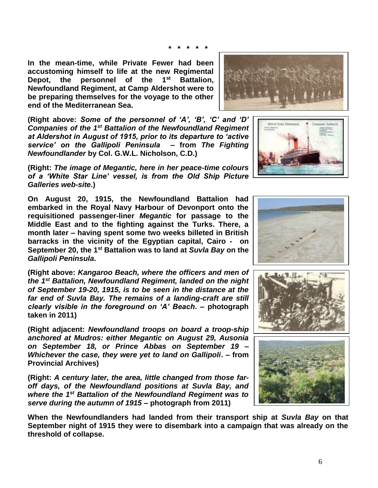**\* \* \* \* \***

**In the mean-time, while Private Fewer had been accustoming himself to life at the new Regimental Depot, the personnel of the 1st Battalion, Newfoundland Regiment, at Camp Aldershot were to be preparing themselves for the voyage to the other end of the Mediterranean Sea.**

**(Right above:** *Some of the personnel of 'A', 'B', 'C' and 'D' Companies of the 1st Battalion of the Newfoundland Regiment at Aldershot in August of 1915, prior to its departure to 'active service' on the Gallipoli Peninsula* **– from** *The Fighting Newfoundlander* **by Col. G.W.L. Nicholson, C.D.)**

**(Right:** *The image of Megantic, here in her peace-time colours of a 'White Star Line' vessel, is from the Old Ship Picture Galleries web-site***.)**

**On August 20, 1915, the Newfoundland Battalion had embarked in the Royal Navy Harbour of Devonport onto the requisitioned passenger-liner** *Megantic* **for passage to the Middle East and to the fighting against the Turks. There, a month later – having spent some two weeks billeted in British barracks in the vicinity of the Egyptian capital, Cairo - on September 20, the 1st Battalion was to land at** *Suvla Bay* **on the**  *Gallipoli Peninsula***.**

**(Right above:** *Kangaroo Beach, where the officers and men of the 1st Battalion, Newfoundland Regiment, landed on the night of September 19-20, 1915, is to be seen in the distance at the far end of Suvla Bay. The remains of a landing-craft are still clearly visible in the foreground on 'A' Beach***. – photograph taken in 2011)**

**(Right adjacent:** *Newfoundland troops on board a troop-ship anchored at Mudros: either Megantic on August 29, Ausonia on September 18, or Prince Abbas on September 19 – Whichever the case, they were yet to land on Gallipoli***. – from Provincial Archives)**

**(Right:** *A century later, the area, little changed from those faroff days, of the Newfoundland positions at Suvla Bay, and where the 1st Battalion of the Newfoundland Regiment was to serve during the autumn of 1915* **– photograph from 2011)**

**When the Newfoundlanders had landed from their transport ship at** *Suvla Bay* **on that September night of 1915 they were to disembark into a campaign that was already on the threshold of collapse.**







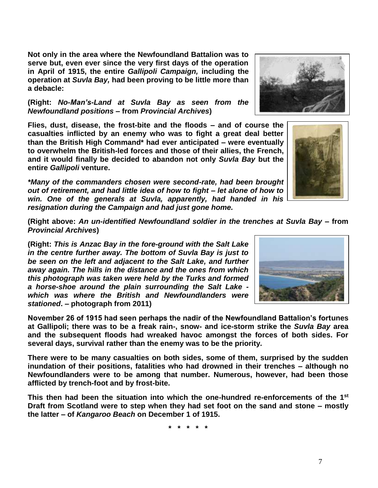**Not only in the area where the Newfoundland Battalion was to serve but, even ever since the very first days of the operation in April of 1915, the entire** *Gallipoli Campaign,* **including the operation at** *Suvla Bay,* **had been proving to be little more than a debacle:** 

**(Right:** *No-Man's-Land at Suvla Bay as seen from the Newfoundland positions* **– from** *Provincial Archives***)**

**Flies, dust, disease, the frost-bite and the floods – and of course the casualties inflicted by an enemy who was to fight a great deal better than the British High Command\* had ever anticipated – were eventually to overwhelm the British-led forces and those of their allies, the French, and it would finally be decided to abandon not only** *Suvla Bay* **but the entire** *Gallipoli* **venture.**

*\*Many of the commanders chosen were second-rate, had been brought out of retirement, and had little idea of how to fight – let alone of how to win. One of the generals at Suvla, apparently, had handed in his resignation during the Campaign and had just gone home.*

**(Right above:** *An un-identified Newfoundland soldier in the trenches at Suvla Bay –* **from**  *Provincial Archives***)**

**(Right:** *This is Anzac Bay in the fore-ground with the Salt Lake in the centre further away. The bottom of Suvla Bay is just to be seen on the left and adjacent to the Salt Lake, and further away again. The hills in the distance and the ones from which this photograph was taken were held by the Turks and formed a horse-shoe around the plain surrounding the Salt Lake which was where the British and Newfoundlanders were stationed***. – photograph from 2011)**

**November 26 of 1915 had seen perhaps the nadir of the Newfoundland Battalion's fortunes at Gallipoli; there was to be a freak rain-, snow- and ice-storm strike the** *Suvla Bay* **area and the subsequent floods had wreaked havoc amongst the forces of both sides. For several days, survival rather than the enemy was to be the priority.**

**There were to be many casualties on both sides, some of them, surprised by the sudden inundation of their positions, fatalities who had drowned in their trenches – although no Newfoundlanders were to be among that number. Numerous, however, had been those afflicted by trench-foot and by frost-bite.**

**This then had been the situation into which the one-hundred re-enforcements of the 1st Draft from Scotland were to step when they had set foot on the sand and stone – mostly the latter – of** *Kangaroo Beach* **on December 1 of 1915.**

**\* \* \* \* \***





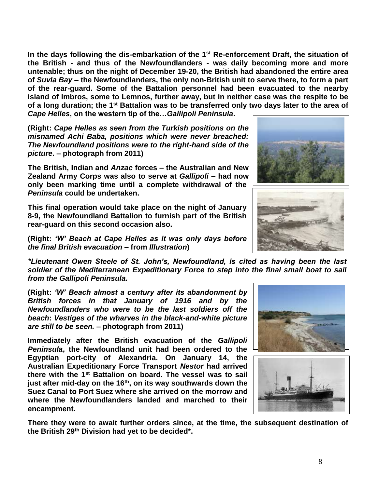**In the days following the dis-embarkation of the 1st Re-enforcement Draft, the situation of the British - and thus of the Newfoundlanders - was daily becoming more and more untenable; thus on the night of December 19-20, the British had abandoned the entire area of** *Suvla Bay* **– the Newfoundlanders, the only non-British unit to serve there, to form a part of the rear-guard. Some of the Battalion personnel had been evacuated to the nearby island of Imbros, some to Lemnos, further away, but in neither case was the respite to be of a long duration; the 1st Battalion was to be transferred only two days later to the area of**  *Cape Helles***, on the western tip of the…***Gallipoli Peninsula***.**

**(Right:** *Cape Helles as seen from the Turkish positions on the misnamed Achi Baba, positions which were never breached: The Newfoundland positions were to the right-hand side of the picture***. – photograph from 2011)**

**The British, Indian and** *Anzac* **forces – the Australian and New Zealand Army Corps was also to serve at** *Gallipoli* **– had now only been marking time until a complete withdrawal of the**  *Peninsula* **could be undertaken.** 

**This final operation would take place on the night of January 8-9, the Newfoundland Battalion to furnish part of the British rear-guard on this second occasion also.**

**(Right:** *'W' Beach at Cape Helles as it was only days before the final British evacuation* **– from** *Illustration***)**

*\*Lieutenant Owen Steele of St. John's, Newfoundland, is cited as having been the last soldier of the Mediterranean Expeditionary Force to step into the final small boat to sail from the Gallipoli Peninsula.*

**(Right:** *'W' Beach almost a century after its abandonment by British forces in that January of 1916 and by the Newfoundlanders who were to be the last soldiers off the beach***:** *Vestiges of the wharves in the black-and-white picture are still to be seen.* **– photograph from 2011)**

**Immediately after the British evacuation of the** *Gallipoli Peninsula***, the Newfoundland unit had been ordered to the Egyptian port-city of Alexandria. On January 14, the Australian Expeditionary Force Transport** *Nestor* **had arrived there with the 1st Battalion on board. The vessel was to sail just after mid-day on the 16th, on its way southwards down the Suez Canal to Port Suez where she arrived on the morrow and where the Newfoundlanders landed and marched to their encampment.**

**There they were to await further orders since, at the time, the subsequent destination of the British 29th Division had yet to be decided\*.**







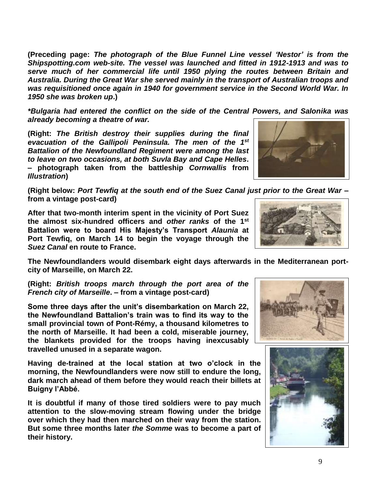**(Preceding page:** *The photograph of the Blue Funnel Line vessel 'Nestor' is from the Shipspotting.com web-site. The vessel was launched and fitted in 1912-1913 and was to serve much of her commercial life until 1950 plying the routes between Britain and Australia. During the Great War she served mainly in the transport of Australian troops and was requisitioned once again in 1940 for government service in the Second World War. In 1950 she was broken up***.)**

*\*Bulgaria had entered the conflict on the side of the Central Powers, and Salonika was already becoming a theatre of war.*

**(Right:** *The British destroy their supplies during the final evacuation of the Gallipoli Peninsula. The men of the 1st Battalion of the Newfoundland Regiment were among the last to leave on two occasions, at both Suvla Bay and Cape Helles***. – photograph taken from the battleship** *Cornwallis* **from**  *Illustration***)**

**(Right below:** *Port Tewfiq at the south end of the Suez Canal just prior to the Great War* **– from a vintage post-card)**

**After that two-month interim spent in the vicinity of Port Suez the almost six-hundred officers and** *other ranks* **of the 1st Battalion were to board His Majesty's Transport** *Alaunia* **at Port Tewfiq, on March 14 to begin the voyage through the**  *Suez Canal* **en route to France.** 

**The Newfoundlanders would disembark eight days afterwards in the Mediterranean portcity of Marseille, on March 22.**

**(Right:** *British troops march through the port area of the French city of Marseille***. – from a vintage post-card)**

**Some three days after the unit's disembarkation on March 22, the Newfoundland Battalion's train was to find its way to the small provincial town of Pont-Rémy, a thousand kilometres to the north of Marseille. It had been a cold, miserable journey, the blankets provided for the troops having inexcusably travelled unused in a separate wagon.**

**Having de-trained at the local station at two o'clock in the morning, the Newfoundlanders were now still to endure the long, dark march ahead of them before they would reach their billets at Buigny l'Abbé.**

**It is doubtful if many of those tired soldiers were to pay much attention to the slow-moving stream flowing under the bridge over which they had then marched on their way from the station. But some three months later** *the Somme* **was to become a part of their history.**







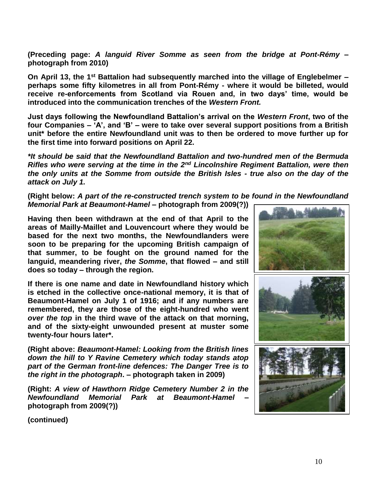**(Preceding page:** *A languid River Somme as seen from the bridge at Pont-Rémy* **– photograph from 2010)**

**On April 13, the 1st Battalion had subsequently marched into the village of Englebelmer – perhaps some fifty kilometres in all from Pont-Rémy - where it would be billeted, would receive re-enforcements from Scotland via Rouen and, in two days' time, would be introduced into the communication trenches of the** *Western Front.*

**Just days following the Newfoundland Battalion's arrival on the** *Western Front***, two of the four Companies – 'A', and 'B' – were to take over several support positions from a British unit\* before the entire Newfoundland unit was to then be ordered to move further up for the first time into forward positions on April 22.**

*\*It should be said that the Newfoundland Battalion and two-hundred men of the Bermuda Rifles who were serving at the time in the 2nd Lincolnshire Regiment Battalion, were then the only units at the Somme from outside the British Isles - true also on the day of the attack on July 1.*

**(Right below:** *A part of the re-constructed trench system to be found in the Newfoundland Memorial Park at Beaumont-Hamel* **– photograph from 2009(?))**

**Having then been withdrawn at the end of that April to the areas of Mailly-Maillet and Louvencourt where they would be based for the next two months, the Newfoundlanders were soon to be preparing for the upcoming British campaign of that summer, to be fought on the ground named for the languid, meandering river,** *the Somme***, that flowed – and still** 

**If there is one name and date in Newfoundland history which is etched in the collective once-national memory, it is that of Beaumont-Hamel on July 1 of 1916; and if any numbers are remembered, they are those of the eight-hundred who went**  *over the top* **in the third wave of the attack on that morning, and of the sixty-eight unwounded present at muster some twenty-four hours later\*.**

**does so today – through the region.** 

**(Right above:** *Beaumont-Hamel: Looking from the British lines down the hill to Y Ravine Cemetery which today stands atop part of the German front-line defences: The Danger Tree is to the right in the photograph***. – photograph taken in 2009)**

**(Right:** *A view of Hawthorn Ridge Cemetery Number 2 in the Newfoundland Memorial Park at Beaumont-Hamel* **– photograph from 2009(?))**



**(continued)**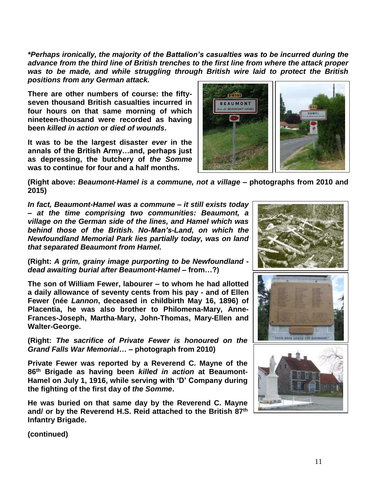*\*Perhaps ironically, the majority of the Battalion's casualties was to be incurred during the advance from the third line of British trenches to the first line from where the attack proper was to be made, and while struggling through British wire laid to protect the British positions from any German attack.*

**There are other numbers of course: the fiftyseven thousand British casualties incurred in four hours on that same morning of which nineteen-thousand were recorded as having been** *killed in action* **or** *died of wounds***.** 

**It was to be the largest disaster** *ever* **in the annals of the British Army…and, perhaps just as depressing, the butchery of** *the Somme* **was to continue for four and a half months.**



**(Right above:** *Beaumont-Hamel is a commune, not a village* **– photographs from 2010 and 2015)**

*In fact, Beaumont-Hamel was a commune – it still exists today – at the time comprising two communities: Beaumont, a village on the German side of the lines, and Hamel which was behind those of the British. No-Man's-Land, on which the Newfoundland Memorial Park lies partially today, was on land that separated Beaumont from Hamel.* 

**(Right:** *A grim, grainy image purporting to be Newfoundland dead awaiting burial after Beaumont-Hamel –* **from…?)**

**The son of William Fewer, labourer – to whom he had allotted a daily allowance of seventy cents from his pay - and of Ellen Fewer (née** *Lannon***, deceased in childbirth May 16, 1896) of Placentia, he was also brother to Philomena-Mary, Anne-Frances-Joseph, Martha-Mary, John-Thomas, Mary-Ellen and Walter-George.** 

**(Right:** *The sacrifice of Private Fewer is honoured on the Grand Falls War Memorial***… – photograph from 2010)**

**Private Fewer was reported by a Reverend C. Mayne of the 86th Brigade as having been** *killed in action* **at Beaumont-Hamel on July 1, 1916, while serving with 'D' Company during the fighting of the first day of** *the Somme***.** 

**He was buried on that same day by the Reverend C. Mayne and/ or by the Reverend H.S. Reid attached to the British 87th Infantry Brigade.**



**(continued)**